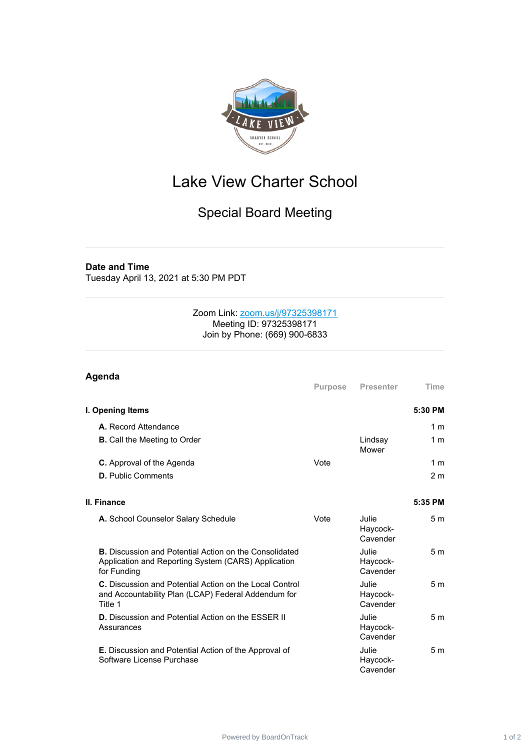

## Lake View Charter School

## Special Board Meeting

## **Date and Time**

Tuesday April 13, 2021 at 5:30 PM PDT

## Zoom Link: [zoom.us/j/97325398171](https://zoom.us/j/97325398171) Meeting ID: 97325398171 Join by Phone: (669) 900-6833

| Agenda                                                                                                                              |                |                                      |                |
|-------------------------------------------------------------------------------------------------------------------------------------|----------------|--------------------------------------|----------------|
|                                                                                                                                     | <b>Purpose</b> | Presenter                            | Time           |
| I. Opening Items                                                                                                                    |                |                                      | 5:30 PM        |
| A. Record Attendance                                                                                                                |                |                                      | 1 <sub>m</sub> |
| <b>B.</b> Call the Meeting to Order                                                                                                 |                | Lindsay<br>Mower                     | 1 <sub>m</sub> |
| <b>C.</b> Approval of the Agenda                                                                                                    | Vote           |                                      | 1 <sub>m</sub> |
| <b>D.</b> Public Comments                                                                                                           |                |                                      | 2 <sub>m</sub> |
|                                                                                                                                     |                |                                      |                |
| II. Finance                                                                                                                         |                |                                      | 5:35 PM        |
| A. School Counselor Salary Schedule                                                                                                 | Vote           | Julie<br>Haycock-<br>Cavender        | 5 <sub>m</sub> |
| <b>B.</b> Discussion and Potential Action on the Consolidated<br>Application and Reporting System (CARS) Application<br>for Funding |                | Julie<br>Haycock-<br>Cavender        | 5 <sub>m</sub> |
| C. Discussion and Potential Action on the Local Control<br>and Accountability Plan (LCAP) Federal Addendum for<br>Title 1           |                | Julie<br>Haycock-<br>Cavender        | 5 <sub>m</sub> |
| <b>D.</b> Discussion and Potential Action on the ESSER II<br>Assurances                                                             |                | <b>Julie</b><br>Haycock-<br>Cavender | 5m             |
| <b>E.</b> Discussion and Potential Action of the Approval of<br>Software License Purchase                                           |                | Julie<br>Haycock-<br>Cavender        | 5m             |